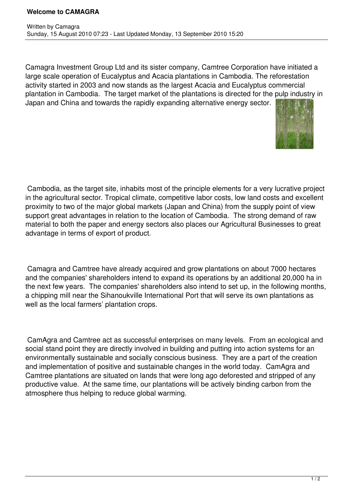## **Welcome to CAMAGRA**

Camagra Investment Group Ltd and its sister company, Camtree Corporation have initiated a large scale operation of Eucalyptus and Acacia plantations in Cambodia. The reforestation activity started in 2003 and now stands as the largest Acacia and Eucalyptus commercial plantation in Cambodia. The target market of the plantations is directed for the pulp industry in Japan and China and towards the rapidly expanding alternative energy sector.



 Cambodia, as the target site, inhabits most of the principle elements for a very lucrative project in the agricultural sector. Tropical climate, competitive labor costs, low land costs and excellent proximity to two of the major global markets (Japan and China) from the supply point of view support great advantages in relation to the location of Cambodia. The strong demand of raw material to both the paper and energy sectors also places our Agricultural Businesses to great advantage in terms of export of product.

 Camagra and Camtree have already acquired and grow plantations on about 7000 hectares and the companies' shareholders intend to expand its operations by an additional 20,000 ha in the next few years. The companies' shareholders also intend to set up, in the following months, a chipping mill near the Sihanoukville International Port that will serve its own plantations as well as the local farmers' plantation crops.

 CamAgra and Camtree act as successful enterprises on many levels. From an ecological and social stand point they are directly involved in building and putting into action systems for an environmentally sustainable and socially conscious business. They are a part of the creation and implementation of positive and sustainable changes in the world today. CamAgra and Camtree plantations are situated on lands that were long ago deforested and stripped of any productive value. At the same time, our plantations will be actively binding carbon from the atmosphere thus helping to reduce global warming.